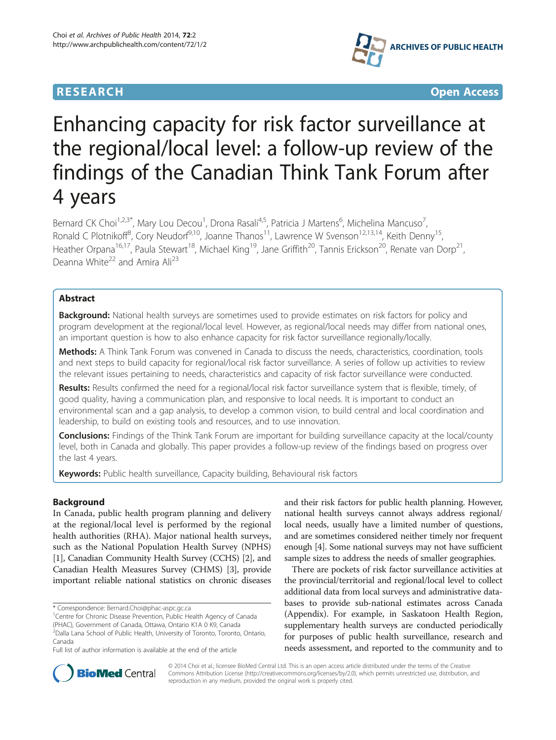



# Enhancing capacity for risk factor surveillance at the regional/local level: a follow-up review of the findings of the Canadian Think Tank Forum after 4 years

Bernard CK Choi<sup>1,2,3\*</sup>, Mary Lou Decou<sup>1</sup>, Drona Rasali<sup>4,5</sup>, Patricia J Martens<sup>6</sup>, Michelina Mancuso<sup>7</sup> , Ronald C Plotnikoff<sup>8</sup>, Cory Neudorf<sup>9,10</sup>, Joanne Thanos<sup>11</sup>, Lawrence W Svenson<sup>12,13,14</sup>, Keith Denny<sup>15</sup>, Heather Orpana<sup>16,17</sup>, Paula Stewart<sup>18</sup>, Michael King<sup>19</sup>, Jane Griffith<sup>20</sup>, Tannis Erickson<sup>20</sup>, Renate van Dorp<sup>21</sup>, Deanna White<sup>22</sup> and Amira Ali<sup>23</sup>

# Abstract

Background: National health surveys are sometimes used to provide estimates on risk factors for policy and program development at the regional/local level. However, as regional/local needs may differ from national ones, an important question is how to also enhance capacity for risk factor surveillance regionally/locally.

Methods: A Think Tank Forum was convened in Canada to discuss the needs, characteristics, coordination, tools and next steps to build capacity for regional/local risk factor surveillance. A series of follow up activities to review the relevant issues pertaining to needs, characteristics and capacity of risk factor surveillance were conducted.

Results: Results confirmed the need for a regional/local risk factor surveillance system that is flexible, timely, of good quality, having a communication plan, and responsive to local needs. It is important to conduct an environmental scan and a gap analysis, to develop a common vision, to build central and local coordination and leadership, to build on existing tools and resources, and to use innovation.

**Conclusions:** Findings of the Think Tank Forum are important for building surveillance capacity at the local/county level, both in Canada and globally. This paper provides a follow-up review of the findings based on progress over the last 4 years.

Keywords: Public health surveillance, Capacity building, Behavioural risk factors

# Background

In Canada, public health program planning and delivery at the regional/local level is performed by the regional health authorities (RHA). Major national health surveys, such as the National Population Health Survey (NPHS) [[1\]](#page-9-0), Canadian Community Health Survey (CCHS) [[2](#page-9-0)], and Canadian Health Measures Survey (CHMS) [\[3\]](#page-9-0), provide important reliable national statistics on chronic diseases

<sup>1</sup> Centre for Chronic Disease Prevention, Public Health Agency of Canada

(PHAC), Government of Canada, Ottawa, Ontario K1A 0 K9, Canada

and their risk factors for public health planning. However, national health surveys cannot always address regional/ local needs, usually have a limited number of questions, and are sometimes considered neither timely nor frequent enough [\[4](#page-9-0)]. Some national surveys may not have sufficient sample sizes to address the needs of smaller geographies.

There are pockets of risk factor surveillance activities at the provincial/territorial and regional/local level to collect additional data from local surveys and administrative databases to provide sub-national estimates across Canada ([Appendix\)](#page-7-0). For example, in Saskatoon Health Region, supplementary health surveys are conducted periodically for purposes of public health surveillance, research and needs assessment, and reported to the community and to



© 2014 Choi et al.; licensee BioMed Central Ltd. This is an open access article distributed under the terms of the Creative Commons Attribution License [\(http://creativecommons.org/licenses/by/2.0\)](http://creativecommons.org/licenses/by/2.0), which permits unrestricted use, distribution, and reproduction in any medium, provided the original work is properly cited.

<sup>\*</sup> Correspondence: [Bernard.Choi@phac-aspc.gc.ca](mailto:Bernard.Choi@phac-aspc.gc.ca) <sup>1</sup>

<sup>2</sup> Dalla Lana School of Public Health, University of Toronto, Toronto, Ontario, Canada

Full list of author information is available at the end of the article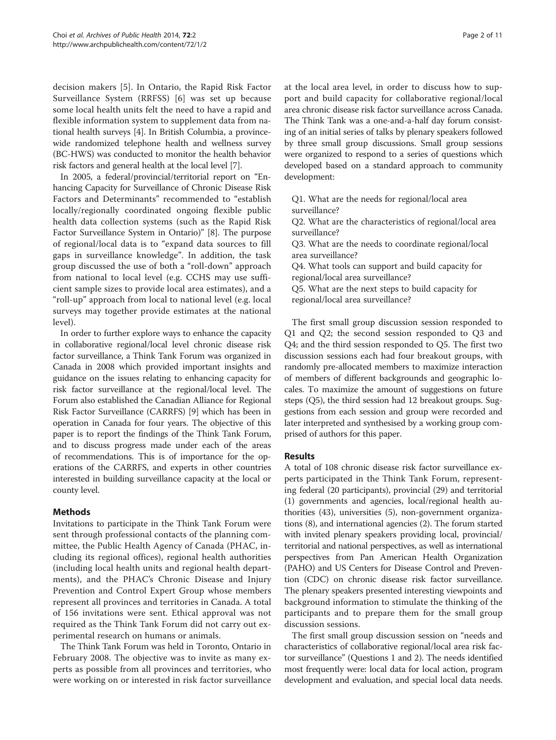decision makers [[5](#page-9-0)]. In Ontario, the Rapid Risk Factor Surveillance System (RRFSS) [\[6\]](#page-9-0) was set up because some local health units felt the need to have a rapid and flexible information system to supplement data from national health surveys [\[4\]](#page-9-0). In British Columbia, a provincewide randomized telephone health and wellness survey (BC-HWS) was conducted to monitor the health behavior risk factors and general health at the local level [\[7](#page-9-0)].

In 2005, a federal/provincial/territorial report on "Enhancing Capacity for Surveillance of Chronic Disease Risk Factors and Determinants" recommended to "establish locally/regionally coordinated ongoing flexible public health data collection systems (such as the Rapid Risk Factor Surveillance System in Ontario)" [\[8](#page-9-0)]. The purpose of regional/local data is to "expand data sources to fill gaps in surveillance knowledge". In addition, the task group discussed the use of both a "roll-down" approach from national to local level (e.g. CCHS may use sufficient sample sizes to provide local area estimates), and a "roll-up" approach from local to national level (e.g. local surveys may together provide estimates at the national level).

In order to further explore ways to enhance the capacity in collaborative regional/local level chronic disease risk factor surveillance, a Think Tank Forum was organized in Canada in 2008 which provided important insights and guidance on the issues relating to enhancing capacity for risk factor surveillance at the regional/local level. The Forum also established the Canadian Alliance for Regional Risk Factor Surveillance (CARRFS) [\[9](#page-9-0)] which has been in operation in Canada for four years. The objective of this paper is to report the findings of the Think Tank Forum, and to discuss progress made under each of the areas of recommendations. This is of importance for the operations of the CARRFS, and experts in other countries interested in building surveillance capacity at the local or county level.

# Methods

Invitations to participate in the Think Tank Forum were sent through professional contacts of the planning committee, the Public Health Agency of Canada (PHAC, including its regional offices), regional health authorities (including local health units and regional health departments), and the PHAC's Chronic Disease and Injury Prevention and Control Expert Group whose members represent all provinces and territories in Canada. A total of 156 invitations were sent. Ethical approval was not required as the Think Tank Forum did not carry out experimental research on humans or animals.

The Think Tank Forum was held in Toronto, Ontario in February 2008. The objective was to invite as many experts as possible from all provinces and territories, who were working on or interested in risk factor surveillance

at the local area level, in order to discuss how to support and build capacity for collaborative regional/local area chronic disease risk factor surveillance across Canada. The Think Tank was a one-and-a-half day forum consisting of an initial series of talks by plenary speakers followed by three small group discussions. Small group sessions were organized to respond to a series of questions which developed based on a standard approach to community development:

Q1. What are the needs for regional/local area surveillance?

Q2. What are the characteristics of regional/local area surveillance?

Q3. What are the needs to coordinate regional/local area surveillance?

Q4. What tools can support and build capacity for regional/local area surveillance?

Q5. What are the next steps to build capacity for regional/local area surveillance?

The first small group discussion session responded to Q1 and Q2; the second session responded to Q3 and Q4; and the third session responded to Q5. The first two discussion sessions each had four breakout groups, with randomly pre-allocated members to maximize interaction of members of different backgrounds and geographic locales. To maximize the amount of suggestions on future steps (Q5), the third session had 12 breakout groups. Suggestions from each session and group were recorded and later interpreted and synthesised by a working group comprised of authors for this paper.

# Results

A total of 108 chronic disease risk factor surveillance experts participated in the Think Tank Forum, representing federal (20 participants), provincial (29) and territorial (1) governments and agencies, local/regional health authorities (43), universities (5), non-government organizations (8), and international agencies (2). The forum started with invited plenary speakers providing local, provincial/ territorial and national perspectives, as well as international perspectives from Pan American Health Organization (PAHO) and US Centers for Disease Control and Prevention (CDC) on chronic disease risk factor surveillance. The plenary speakers presented interesting viewpoints and background information to stimulate the thinking of the participants and to prepare them for the small group discussion sessions.

The first small group discussion session on "needs and characteristics of collaborative regional/local area risk factor surveillance" (Questions 1 and 2). The needs identified most frequently were: local data for local action, program development and evaluation, and special local data needs.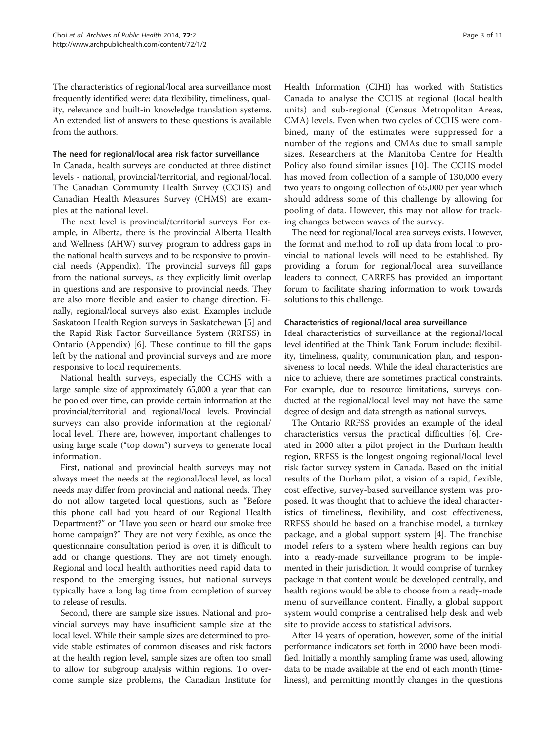The characteristics of regional/local area surveillance most frequently identified were: data flexibility, timeliness, quality, relevance and built-in knowledge translation systems. An extended list of answers to these questions is available from the authors.

## The need for regional/local area risk factor surveillance

In Canada, health surveys are conducted at three distinct levels - national, provincial/territorial, and regional/local. The Canadian Community Health Survey (CCHS) and Canadian Health Measures Survey (CHMS) are examples at the national level.

The next level is provincial/territorial surveys. For example, in Alberta, there is the provincial Alberta Health and Wellness (AHW) survey program to address gaps in the national health surveys and to be responsive to provincial needs ([Appendix\)](#page-7-0). The provincial surveys fill gaps from the national surveys, as they explicitly limit overlap in questions and are responsive to provincial needs. They are also more flexible and easier to change direction. Finally, regional/local surveys also exist. Examples include Saskatoon Health Region surveys in Saskatchewan [[5\]](#page-9-0) and the Rapid Risk Factor Surveillance System (RRFSS) in Ontario [\(Appendix\)](#page-7-0) [[6\]](#page-9-0). These continue to fill the gaps left by the national and provincial surveys and are more responsive to local requirements.

National health surveys, especially the CCHS with a large sample size of approximately 65,000 a year that can be pooled over time, can provide certain information at the provincial/territorial and regional/local levels. Provincial surveys can also provide information at the regional/ local level. There are, however, important challenges to using large scale ("top down") surveys to generate local information.

First, national and provincial health surveys may not always meet the needs at the regional/local level, as local needs may differ from provincial and national needs. They do not allow targeted local questions, such as "Before this phone call had you heard of our Regional Health Department?" or "Have you seen or heard our smoke free home campaign?" They are not very flexible, as once the questionnaire consultation period is over, it is difficult to add or change questions. They are not timely enough. Regional and local health authorities need rapid data to respond to the emerging issues, but national surveys typically have a long lag time from completion of survey to release of results.

Second, there are sample size issues. National and provincial surveys may have insufficient sample size at the local level. While their sample sizes are determined to provide stable estimates of common diseases and risk factors at the health region level, sample sizes are often too small to allow for subgroup analysis within regions. To overcome sample size problems, the Canadian Institute for Health Information (CIHI) has worked with Statistics Canada to analyse the CCHS at regional (local health units) and sub-regional (Census Metropolitan Areas, CMA) levels. Even when two cycles of CCHS were combined, many of the estimates were suppressed for a number of the regions and CMAs due to small sample sizes. Researchers at the Manitoba Centre for Health Policy also found similar issues [[10](#page-9-0)]. The CCHS model has moved from collection of a sample of 130,000 every two years to ongoing collection of 65,000 per year which should address some of this challenge by allowing for pooling of data. However, this may not allow for tracking changes between waves of the survey.

The need for regional/local area surveys exists. However, the format and method to roll up data from local to provincial to national levels will need to be established. By providing a forum for regional/local area surveillance leaders to connect, CARRFS has provided an important forum to facilitate sharing information to work towards solutions to this challenge.

## Characteristics of regional/local area surveillance

Ideal characteristics of surveillance at the regional/local level identified at the Think Tank Forum include: flexibility, timeliness, quality, communication plan, and responsiveness to local needs. While the ideal characteristics are nice to achieve, there are sometimes practical constraints. For example, due to resource limitations, surveys conducted at the regional/local level may not have the same degree of design and data strength as national surveys.

The Ontario RRFSS provides an example of the ideal characteristics versus the practical difficulties [\[6](#page-9-0)]. Created in 2000 after a pilot project in the Durham health region, RRFSS is the longest ongoing regional/local level risk factor survey system in Canada. Based on the initial results of the Durham pilot, a vision of a rapid, flexible, cost effective, survey-based surveillance system was proposed. It was thought that to achieve the ideal characteristics of timeliness, flexibility, and cost effectiveness, RRFSS should be based on a franchise model, a turnkey package, and a global support system [[4\]](#page-9-0). The franchise model refers to a system where health regions can buy into a ready-made surveillance program to be implemented in their jurisdiction. It would comprise of turnkey package in that content would be developed centrally, and health regions would be able to choose from a ready-made menu of surveillance content. Finally, a global support system would comprise a centralised help desk and web site to provide access to statistical advisors.

After 14 years of operation, however, some of the initial performance indicators set forth in 2000 have been modified. Initially a monthly sampling frame was used, allowing data to be made available at the end of each month (timeliness), and permitting monthly changes in the questions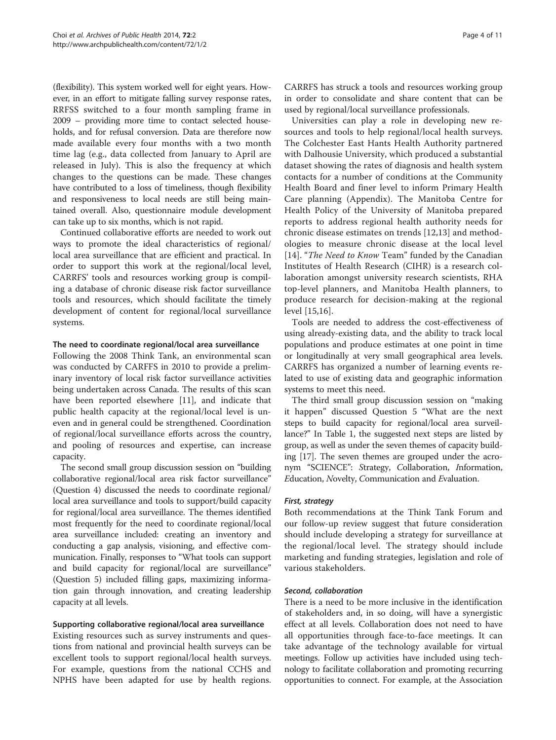(flexibility). This system worked well for eight years. However, in an effort to mitigate falling survey response rates, RRFSS switched to a four month sampling frame in 2009 – providing more time to contact selected households, and for refusal conversion. Data are therefore now made available every four months with a two month time lag (e.g., data collected from January to April are released in July). This is also the frequency at which changes to the questions can be made. These changes have contributed to a loss of timeliness, though flexibility and responsiveness to local needs are still being maintained overall. Also, questionnaire module development can take up to six months, which is not rapid.

Continued collaborative efforts are needed to work out ways to promote the ideal characteristics of regional/ local area surveillance that are efficient and practical. In order to support this work at the regional/local level, CARRFS' tools and resources working group is compiling a database of chronic disease risk factor surveillance tools and resources, which should facilitate the timely development of content for regional/local surveillance systems.

#### The need to coordinate regional/local area surveillance

Following the 2008 Think Tank, an environmental scan was conducted by CARFFS in 2010 to provide a preliminary inventory of local risk factor surveillance activities being undertaken across Canada. The results of this scan have been reported elsewhere [\[11\]](#page-9-0), and indicate that public health capacity at the regional/local level is uneven and in general could be strengthened. Coordination of regional/local surveillance efforts across the country, and pooling of resources and expertise, can increase capacity.

The second small group discussion session on "building collaborative regional/local area risk factor surveillance" (Question 4) discussed the needs to coordinate regional/ local area surveillance and tools to support/build capacity for regional/local area surveillance. The themes identified most frequently for the need to coordinate regional/local area surveillance included: creating an inventory and conducting a gap analysis, visioning, and effective communication. Finally, responses to "What tools can support and build capacity for regional/local are surveillance" (Question 5) included filling gaps, maximizing information gain through innovation, and creating leadership capacity at all levels.

# Supporting collaborative regional/local area surveillance

Existing resources such as survey instruments and questions from national and provincial health surveys can be excellent tools to support regional/local health surveys. For example, questions from the national CCHS and NPHS have been adapted for use by health regions.

CARRFS has struck a tools and resources working group in order to consolidate and share content that can be used by regional/local surveillance professionals.

Universities can play a role in developing new resources and tools to help regional/local health surveys. The Colchester East Hants Health Authority partnered with Dalhousie University, which produced a substantial dataset showing the rates of diagnosis and health system contacts for a number of conditions at the Community Health Board and finer level to inform Primary Health Care planning ([Appendix](#page-7-0)). The Manitoba Centre for Health Policy of the University of Manitoba prepared reports to address regional health authority needs for chronic disease estimates on trends [[12,13](#page-9-0)] and methodologies to measure chronic disease at the local level [[14\]](#page-9-0). "The Need to Know Team" funded by the Canadian Institutes of Health Research (CIHR) is a research collaboration amongst university research scientists, RHA top-level planners, and Manitoba Health planners, to produce research for decision-making at the regional level [[15,16\]](#page-9-0).

Tools are needed to address the cost-effectiveness of using already-existing data, and the ability to track local populations and produce estimates at one point in time or longitudinally at very small geographical area levels. CARRFS has organized a number of learning events related to use of existing data and geographic information systems to meet this need.

The third small group discussion session on "making it happen" discussed Question 5 "What are the next steps to build capacity for regional/local area surveillance?" In Table [1,](#page-4-0) the suggested next steps are listed by group, as well as under the seven themes of capacity building [\[17\]](#page-9-0). The seven themes are grouped under the acronym "SCIENCE": Strategy, Collaboration, Information, Education, Novelty, Communication and Evaluation.

# First, strategy

Both recommendations at the Think Tank Forum and our follow-up review suggest that future consideration should include developing a strategy for surveillance at the regional/local level. The strategy should include marketing and funding strategies, legislation and role of various stakeholders.

# Second, collaboration

There is a need to be more inclusive in the identification of stakeholders and, in so doing, will have a synergistic effect at all levels. Collaboration does not need to have all opportunities through face-to-face meetings. It can take advantage of the technology available for virtual meetings. Follow up activities have included using technology to facilitate collaboration and promoting recurring opportunities to connect. For example, at the Association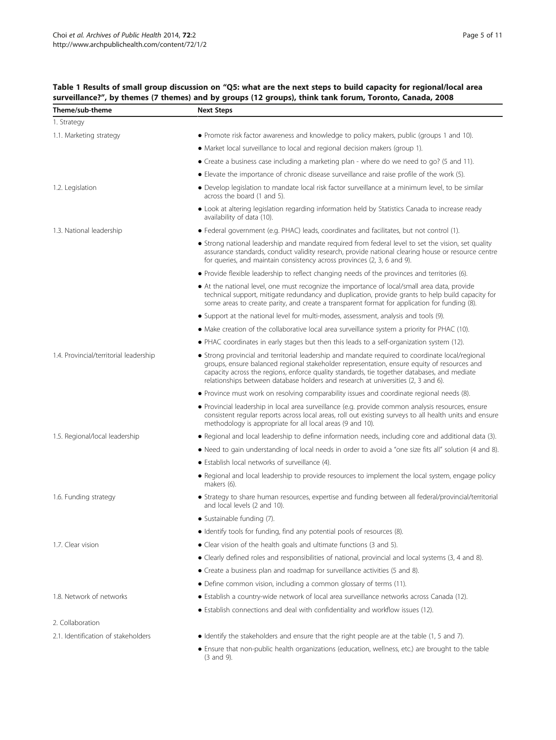| Theme/sub-theme                        | <b>Next Steps</b>                                                                                                                                                                                                                                                                                                                                                                   |
|----------------------------------------|-------------------------------------------------------------------------------------------------------------------------------------------------------------------------------------------------------------------------------------------------------------------------------------------------------------------------------------------------------------------------------------|
| 1. Strategy                            |                                                                                                                                                                                                                                                                                                                                                                                     |
| 1.1. Marketing strategy                | . Promote risk factor awareness and knowledge to policy makers, public (groups 1 and 10).                                                                                                                                                                                                                                                                                           |
|                                        | • Market local surveillance to local and regional decision makers (group 1).                                                                                                                                                                                                                                                                                                        |
|                                        | • Create a business case including a marketing plan - where do we need to go? (5 and 11).                                                                                                                                                                                                                                                                                           |
|                                        | • Elevate the importance of chronic disease surveillance and raise profile of the work (5).                                                                                                                                                                                                                                                                                         |
| 1.2. Legislation                       | • Develop legislation to mandate local risk factor surveillance at a minimum level, to be similar<br>across the board (1 and 5).                                                                                                                                                                                                                                                    |
|                                        | • Look at altering legislation regarding information held by Statistics Canada to increase ready<br>availability of data (10).                                                                                                                                                                                                                                                      |
| 1.3. National leadership               | • Federal government (e.g. PHAC) leads, coordinates and facilitates, but not control (1).                                                                                                                                                                                                                                                                                           |
|                                        | • Strong national leadership and mandate required from federal level to set the vision, set quality<br>assurance standards, conduct validity research, provide national clearing house or resource centre<br>for queries, and maintain consistency across provinces (2, 3, 6 and 9).                                                                                                |
|                                        | • Provide flexible leadership to reflect changing needs of the provinces and territories (6).                                                                                                                                                                                                                                                                                       |
|                                        | • At the national level, one must recognize the importance of local/small area data, provide<br>technical support, mitigate redundancy and duplication, provide grants to help build capacity for<br>some areas to create parity, and create a transparent format for application for funding (8).                                                                                  |
|                                        | • Support at the national level for multi-modes, assessment, analysis and tools (9).                                                                                                                                                                                                                                                                                                |
|                                        | • Make creation of the collaborative local area surveillance system a priority for PHAC (10).                                                                                                                                                                                                                                                                                       |
|                                        | . PHAC coordinates in early stages but then this leads to a self-organization system (12).                                                                                                                                                                                                                                                                                          |
| 1.4. Provincial/territorial leadership | • Strong provincial and territorial leadership and mandate required to coordinate local/regional<br>groups, ensure balanced regional stakeholder representation, ensure equity of resources and<br>capacity across the regions, enforce quality standards, tie together databases, and mediate<br>relationships between database holders and research at universities (2, 3 and 6). |
|                                        | • Province must work on resolving comparability issues and coordinate regional needs (8).                                                                                                                                                                                                                                                                                           |
|                                        | · Provincial leadership in local area surveillance (e.g. provide common analysis resources, ensure<br>consistent regular reports across local areas, roll out existing surveys to all health units and ensure<br>methodology is appropriate for all local areas (9 and 10).                                                                                                         |
| 1.5. Regional/local leadership         | • Regional and local leadership to define information needs, including core and additional data (3).                                                                                                                                                                                                                                                                                |
|                                        | $\bullet$ Need to gain understanding of local needs in order to avoid a "one size fits all" solution (4 and 8).                                                                                                                                                                                                                                                                     |
|                                        | • Establish local networks of surveillance (4).                                                                                                                                                                                                                                                                                                                                     |
|                                        | • Regional and local leadership to provide resources to implement the local system, engage policy<br>makers (6).                                                                                                                                                                                                                                                                    |
| 1.6. Funding strategy                  | • Strategy to share human resources, expertise and funding between all federal/provincial/territorial<br>and local levels (2 and 10).                                                                                                                                                                                                                                               |
|                                        | · Sustainable funding (7).                                                                                                                                                                                                                                                                                                                                                          |
|                                        | • Identify tools for funding, find any potential pools of resources (8).                                                                                                                                                                                                                                                                                                            |
| 1.7. Clear vision                      | • Clear vision of the health goals and ultimate functions (3 and 5).                                                                                                                                                                                                                                                                                                                |
|                                        | • Clearly defined roles and responsibilities of national, provincial and local systems (3, 4 and 8).                                                                                                                                                                                                                                                                                |
|                                        | • Create a business plan and roadmap for surveillance activities (5 and 8).                                                                                                                                                                                                                                                                                                         |
|                                        | • Define common vision, including a common glossary of terms (11).                                                                                                                                                                                                                                                                                                                  |
| 1.8. Network of networks               | • Establish a country-wide network of local area surveillance networks across Canada (12).                                                                                                                                                                                                                                                                                          |
|                                        | • Establish connections and deal with confidentiality and workflow issues (12).                                                                                                                                                                                                                                                                                                     |
| 2. Collaboration                       |                                                                                                                                                                                                                                                                                                                                                                                     |
| 2.1. Identification of stakeholders    | $\bullet$ Identify the stakeholders and ensure that the right people are at the table (1, 5 and 7).                                                                                                                                                                                                                                                                                 |
|                                        | • Ensure that non-public health organizations (education, wellness, etc.) are brought to the table<br>(3 and 9).                                                                                                                                                                                                                                                                    |

# <span id="page-4-0"></span>Table 1 Results of small group discussion on "Q5: what are the next steps to build capacity for regional/local area surveillance?", by themes (7 themes) and by groups (12 groups), think tank forum, Toronto, Canada, 2008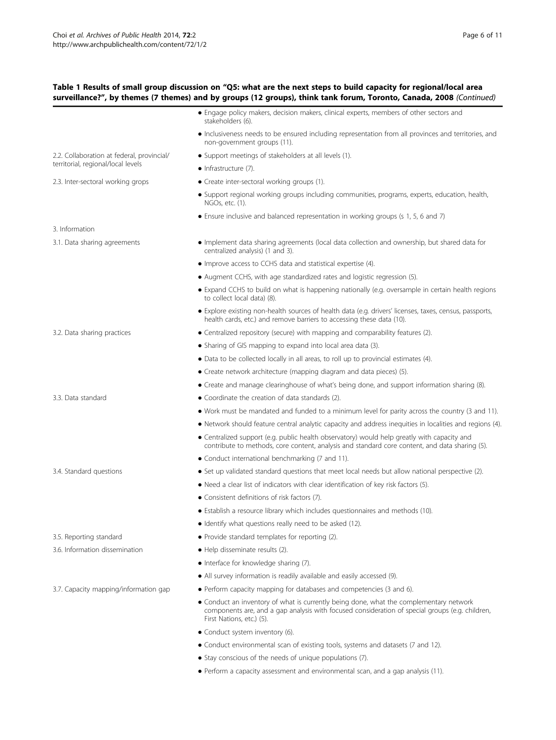# Table 1 Results of small group discussion on "Q5: what are the next steps to build capacity for regional/local area surveillance?", by themes (7 themes) and by groups (12 groups), think tank forum, Toronto, Canada, 2008 (Continued)

|                                                                                  | · Engage policy makers, decision makers, clinical experts, members of other sectors and<br>stakeholders (6).                                                                                                           |
|----------------------------------------------------------------------------------|------------------------------------------------------------------------------------------------------------------------------------------------------------------------------------------------------------------------|
|                                                                                  | · Inclusiveness needs to be ensured including representation from all provinces and territories, and<br>non-government groups (11).                                                                                    |
| 2.2. Collaboration at federal, provincial/<br>territorial, regional/local levels | · Support meetings of stakeholders at all levels (1).                                                                                                                                                                  |
|                                                                                  | $\bullet$ Infrastructure (7).                                                                                                                                                                                          |
| 2.3. Inter-sectoral working grops                                                | • Create inter-sectoral working groups (1).                                                                                                                                                                            |
|                                                                                  | • Support regional working groups including communities, programs, experts, education, health,<br>NGOs, etc. (1).                                                                                                      |
|                                                                                  | • Ensure inclusive and balanced representation in working groups (s 1, 5, 6 and 7)                                                                                                                                     |
| 3. Information                                                                   |                                                                                                                                                                                                                        |
| 3.1. Data sharing agreements                                                     | • Implement data sharing agreements (local data collection and ownership, but shared data for<br>centralized analysis) (1 and 3).                                                                                      |
|                                                                                  | • Improve access to CCHS data and statistical expertise (4).                                                                                                                                                           |
|                                                                                  | • Augment CCHS, with age standardized rates and logistic regression (5).                                                                                                                                               |
|                                                                                  | • Expand CCHS to build on what is happening nationally (e.g. oversample in certain health regions<br>to collect local data) (8).                                                                                       |
|                                                                                  | • Explore existing non-health sources of health data (e.g. drivers' licenses, taxes, census, passports,<br>health cards, etc.) and remove barriers to accessing these data (10).                                       |
| 3.2. Data sharing practices                                                      | • Centralized repository (secure) with mapping and comparability features (2).                                                                                                                                         |
|                                                                                  | • Sharing of GIS mapping to expand into local area data (3).                                                                                                                                                           |
|                                                                                  | • Data to be collected locally in all areas, to roll up to provincial estimates (4).                                                                                                                                   |
|                                                                                  | • Create network architecture (mapping diagram and data pieces) (5).                                                                                                                                                   |
|                                                                                  | • Create and manage clearinghouse of what's being done, and support information sharing (8).                                                                                                                           |
| 3.3. Data standard                                                               | • Coordinate the creation of data standards (2).                                                                                                                                                                       |
|                                                                                  | • Work must be mandated and funded to a minimum level for parity across the country (3 and 11).                                                                                                                        |
|                                                                                  | • Network should feature central analytic capacity and address inequities in localities and regions (4)                                                                                                                |
|                                                                                  | • Centralized support (e.g. public health observatory) would help greatly with capacity and<br>contribute to methods, core content, analysis and standard core content, and data sharing (5).                          |
|                                                                                  | • Conduct international benchmarking (7 and 11).                                                                                                                                                                       |
| 3.4. Standard questions                                                          | • Set up validated standard questions that meet local needs but allow national perspective (2).                                                                                                                        |
|                                                                                  | • Need a clear list of indicators with clear identification of key risk factors (5).                                                                                                                                   |
|                                                                                  | • Consistent definitions of risk factors (7).                                                                                                                                                                          |
|                                                                                  | • Establish a resource library which includes questionnaires and methods (10).                                                                                                                                         |
|                                                                                  | • Identify what questions really need to be asked (12).                                                                                                                                                                |
| 3.5. Reporting standard                                                          | • Provide standard templates for reporting (2).                                                                                                                                                                        |
| 3.6. Information dissemination                                                   | • Help disseminate results (2).                                                                                                                                                                                        |
|                                                                                  | • Interface for knowledge sharing (7).                                                                                                                                                                                 |
|                                                                                  | • All survey information is readily available and easily accessed (9).                                                                                                                                                 |
| 3.7. Capacity mapping/information gap                                            | · Perform capacity mapping for databases and competencies (3 and 6).                                                                                                                                                   |
|                                                                                  | • Conduct an inventory of what is currently being done, what the complementary network<br>components are, and a gap analysis with focused consideration of special groups (e.g. children,<br>First Nations, etc.) (5). |
|                                                                                  | • Conduct system inventory (6).                                                                                                                                                                                        |
|                                                                                  | • Conduct environmental scan of existing tools, systems and datasets (7 and 12).                                                                                                                                       |
|                                                                                  | • Stay conscious of the needs of unique populations (7).                                                                                                                                                               |

● Perform a capacity assessment and environmental scan, and a gap analysis (11).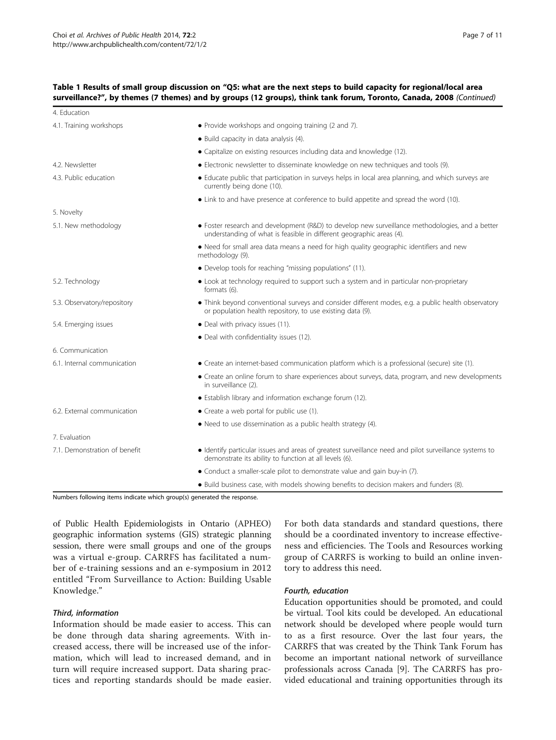#### Table 1 Results of small group discussion on "Q5: what are the next steps to build capacity for regional/local area surveillance?", by themes (7 themes) and by groups (12 groups), think tank forum, Toronto, Canada, 2008 (Continued)

| 4. Education                  |                                                                                                                                                                         |
|-------------------------------|-------------------------------------------------------------------------------------------------------------------------------------------------------------------------|
| 4.1. Training workshops       | • Provide workshops and ongoing training (2 and 7).                                                                                                                     |
|                               | · Build capacity in data analysis (4).                                                                                                                                  |
|                               | • Capitalize on existing resources including data and knowledge (12).                                                                                                   |
| 4.2. Newsletter               | • Electronic newsletter to disseminate knowledge on new techniques and tools (9).                                                                                       |
| 4.3. Public education         | • Educate public that participation in surveys helps in local area planning, and which surveys are<br>currently being done (10).                                        |
|                               | • Link to and have presence at conference to build appetite and spread the word (10).                                                                                   |
| 5. Novelty                    |                                                                                                                                                                         |
| 5.1. New methodology          | • Foster research and development (R&D) to develop new surveillance methodologies, and a better<br>understanding of what is feasible in different geographic areas (4). |
|                               | • Need for small area data means a need for high quality geographic identifiers and new<br>methodology (9).                                                             |
|                               | · Develop tools for reaching "missing populations" (11).                                                                                                                |
| 5.2. Technology               | • Look at technology required to support such a system and in particular non-proprietary<br>formats (6).                                                                |
| 5.3. Observatory/repository   | • Think beyond conventional surveys and consider different modes, e.g. a public health observatory<br>or population health repository, to use existing data (9).        |
| 5.4. Emerging issues          | • Deal with privacy issues (11).                                                                                                                                        |
|                               | • Deal with confidentiality issues (12).                                                                                                                                |
| 6. Communication              |                                                                                                                                                                         |
| 6.1. Internal communication   | • Create an internet-based communication platform which is a professional (secure) site (1).                                                                            |
|                               | • Create an online forum to share experiences about surveys, data, program, and new developments<br>in surveillance (2).                                                |
|                               | • Establish library and information exchange forum (12).                                                                                                                |
| 6.2. External communication   | • Create a web portal for public use (1).                                                                                                                               |
|                               | • Need to use dissemination as a public health strategy (4).                                                                                                            |
| 7. Evaluation                 |                                                                                                                                                                         |
| 7.1. Demonstration of benefit | • Identify particular issues and areas of greatest surveillance need and pilot surveillance systems to<br>demonstrate its ability to function at all levels (6).        |
|                               | · Conduct a smaller-scale pilot to demonstrate value and gain buy-in (7).                                                                                               |
|                               | • Build business case, with models showing benefits to decision makers and funders (8).                                                                                 |

Numbers following items indicate which group(s) generated the response.

of Public Health Epidemiologists in Ontario (APHEO) geographic information systems (GIS) strategic planning session, there were small groups and one of the groups was a virtual e-group. CARRFS has facilitated a number of e-training sessions and an e-symposium in 2012 entitled "From Surveillance to Action: Building Usable Knowledge."

# Third, information

Information should be made easier to access. This can be done through data sharing agreements. With increased access, there will be increased use of the information, which will lead to increased demand, and in turn will require increased support. Data sharing practices and reporting standards should be made easier. For both data standards and standard questions, there should be a coordinated inventory to increase effectiveness and efficiencies. The Tools and Resources working group of CARRFS is working to build an online inventory to address this need.

#### Fourth, education

Education opportunities should be promoted, and could be virtual. Tool kits could be developed. An educational network should be developed where people would turn to as a first resource. Over the last four years, the CARRFS that was created by the Think Tank Forum has become an important national network of surveillance professionals across Canada [[9](#page-9-0)]. The CARRFS has provided educational and training opportunities through its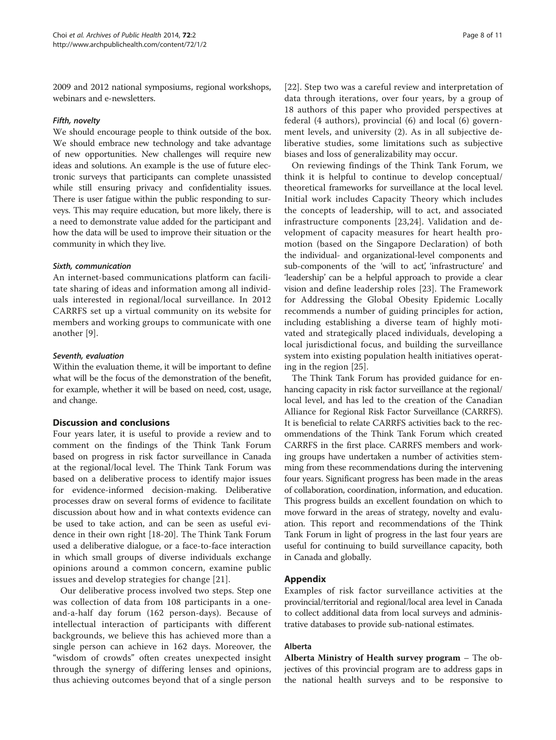<span id="page-7-0"></span>2009 and 2012 national symposiums, regional workshops, webinars and e-newsletters.

#### Fifth, novelty

We should encourage people to think outside of the box. We should embrace new technology and take advantage of new opportunities. New challenges will require new ideas and solutions. An example is the use of future electronic surveys that participants can complete unassisted while still ensuring privacy and confidentiality issues. There is user fatigue within the public responding to surveys. This may require education, but more likely, there is a need to demonstrate value added for the participant and how the data will be used to improve their situation or the community in which they live.

## Sixth, communication

An internet-based communications platform can facilitate sharing of ideas and information among all individuals interested in regional/local surveillance. In 2012 CARRFS set up a virtual community on its website for members and working groups to communicate with one another [[9\]](#page-9-0).

## Seventh, evaluation

Within the evaluation theme, it will be important to define what will be the focus of the demonstration of the benefit, for example, whether it will be based on need, cost, usage, and change.

# Discussion and conclusions

Four years later, it is useful to provide a review and to comment on the findings of the Think Tank Forum based on progress in risk factor surveillance in Canada at the regional/local level. The Think Tank Forum was based on a deliberative process to identify major issues for evidence-informed decision-making. Deliberative processes draw on several forms of evidence to facilitate discussion about how and in what contexts evidence can be used to take action, and can be seen as useful evidence in their own right [\[18](#page-9-0)-[20\]](#page-9-0). The Think Tank Forum used a deliberative dialogue, or a face-to-face interaction in which small groups of diverse individuals exchange opinions around a common concern, examine public issues and develop strategies for change [[21](#page-9-0)].

Our deliberative process involved two steps. Step one was collection of data from 108 participants in a oneand-a-half day forum (162 person-days). Because of intellectual interaction of participants with different backgrounds, we believe this has achieved more than a single person can achieve in 162 days. Moreover, the "wisdom of crowds" often creates unexpected insight through the synergy of differing lenses and opinions, thus achieving outcomes beyond that of a single person

[[22](#page-9-0)]. Step two was a careful review and interpretation of data through iterations, over four years, by a group of 18 authors of this paper who provided perspectives at federal (4 authors), provincial (6) and local (6) government levels, and university (2). As in all subjective deliberative studies, some limitations such as subjective biases and loss of generalizability may occur.

On reviewing findings of the Think Tank Forum, we think it is helpful to continue to develop conceptual/ theoretical frameworks for surveillance at the local level. Initial work includes Capacity Theory which includes the concepts of leadership, will to act, and associated infrastructure components [[23](#page-9-0),[24\]](#page-9-0). Validation and development of capacity measures for heart health promotion (based on the Singapore Declaration) of both the individual- and organizational-level components and sub-components of the 'will to act', 'infrastructure' and 'leadership' can be a helpful approach to provide a clear vision and define leadership roles [\[23](#page-9-0)]. The Framework for Addressing the Global Obesity Epidemic Locally recommends a number of guiding principles for action, including establishing a diverse team of highly motivated and strategically placed individuals, developing a local jurisdictional focus, and building the surveillance system into existing population health initiatives operating in the region [\[25](#page-9-0)].

The Think Tank Forum has provided guidance for enhancing capacity in risk factor surveillance at the regional/ local level, and has led to the creation of the Canadian Alliance for Regional Risk Factor Surveillance (CARRFS). It is beneficial to relate CARRFS activities back to the recommendations of the Think Tank Forum which created CARRFS in the first place. CARRFS members and working groups have undertaken a number of activities stemming from these recommendations during the intervening four years. Significant progress has been made in the areas of collaboration, coordination, information, and education. This progress builds an excellent foundation on which to move forward in the areas of strategy, novelty and evaluation. This report and recommendations of the Think Tank Forum in light of progress in the last four years are useful for continuing to build surveillance capacity, both in Canada and globally.

# Appendix

Examples of risk factor surveillance activities at the provincial/territorial and regional/local area level in Canada to collect additional data from local surveys and administrative databases to provide sub-national estimates.

# Alberta

Alberta Ministry of Health survey program – The objectives of this provincial program are to address gaps in the national health surveys and to be responsive to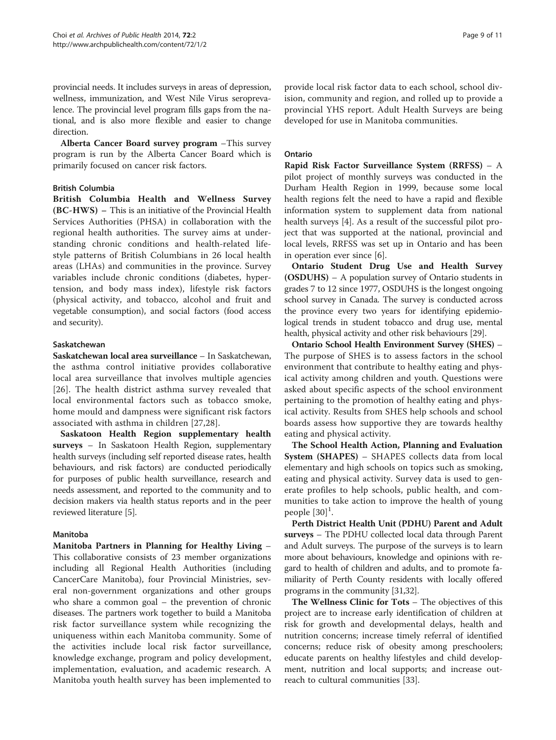provincial needs. It includes surveys in areas of depression, wellness, immunization, and West Nile Virus seroprevalence. The provincial level program fills gaps from the national, and is also more flexible and easier to change direction.

Alberta Cancer Board survey program –This survey program is run by the Alberta Cancer Board which is primarily focused on cancer risk factors.

# British Columbia

British Columbia Health and Wellness Survey (BC-HWS) – This is an initiative of the Provincial Health Services Authorities (PHSA) in collaboration with the regional health authorities. The survey aims at understanding chronic conditions and health-related lifestyle patterns of British Columbians in 26 local health areas (LHAs) and communities in the province. Survey variables include chronic conditions (diabetes, hypertension, and body mass index), lifestyle risk factors (physical activity, and tobacco, alcohol and fruit and vegetable consumption), and social factors (food access and security).

## Saskatchewan

Saskatchewan local area surveillance – In Saskatchewan, the asthma control initiative provides collaborative local area surveillance that involves multiple agencies [[26](#page-9-0)]. The health district asthma survey revealed that local environmental factors such as tobacco smoke, home mould and dampness were significant risk factors associated with asthma in children [[27,28](#page-10-0)].

Saskatoon Health Region supplementary health surveys – In Saskatoon Health Region, supplementary health surveys (including self reported disease rates, health behaviours, and risk factors) are conducted periodically for purposes of public health surveillance, research and needs assessment, and reported to the community and to decision makers via health status reports and in the peer reviewed literature [[5\]](#page-9-0).

# Manitoba

Manitoba Partners in Planning for Healthy Living – This collaborative consists of 23 member organizations including all Regional Health Authorities (including CancerCare Manitoba), four Provincial Ministries, several non-government organizations and other groups who share a common goal – the prevention of chronic diseases. The partners work together to build a Manitoba risk factor surveillance system while recognizing the uniqueness within each Manitoba community. Some of the activities include local risk factor surveillance, knowledge exchange, program and policy development, implementation, evaluation, and academic research. A Manitoba youth health survey has been implemented to provide local risk factor data to each school, school division, community and region, and rolled up to provide a provincial YHS report. Adult Health Surveys are being developed for use in Manitoba communities.

## Ontario

Rapid Risk Factor Surveillance System (RRFSS) – A pilot project of monthly surveys was conducted in the Durham Health Region in 1999, because some local health regions felt the need to have a rapid and flexible information system to supplement data from national health surveys [\[4\]](#page-9-0). As a result of the successful pilot project that was supported at the national, provincial and local levels, RRFSS was set up in Ontario and has been in operation ever since [\[6](#page-9-0)].

Ontario Student Drug Use and Health Survey (OSDUHS) – A population survey of Ontario students in grades 7 to 12 since 1977, OSDUHS is the longest ongoing school survey in Canada. The survey is conducted across the province every two years for identifying epidemiological trends in student tobacco and drug use, mental health, physical activity and other risk behaviours [[29](#page-10-0)].

Ontario School Health Environment Survey (SHES) – The purpose of SHES is to assess factors in the school environment that contribute to healthy eating and physical activity among children and youth. Questions were asked about specific aspects of the school environment pertaining to the promotion of healthy eating and physical activity. Results from SHES help schools and school boards assess how supportive they are towards healthy eating and physical activity.

The School Health Action, Planning and Evaluation System (SHAPES) – SHAPES collects data from local elementary and high schools on topics such as smoking, eating and physical activity. Survey data is used to generate profiles to help schools, public health, and communities to take action to improve the health of young people  $[30]$  $[30]$ <sup>1</sup>.

Perth District Health Unit (PDHU) Parent and Adult surveys – The PDHU collected local data through Parent and Adult surveys. The purpose of the surveys is to learn more about behaviours, knowledge and opinions with regard to health of children and adults, and to promote familiarity of Perth County residents with locally offered programs in the community [[31,32\]](#page-10-0).

The Wellness Clinic for Tots – The objectives of this project are to increase early identification of children at risk for growth and developmental delays, health and nutrition concerns; increase timely referral of identified concerns; reduce risk of obesity among preschoolers; educate parents on healthy lifestyles and child development, nutrition and local supports; and increase outreach to cultural communities [[33](#page-10-0)].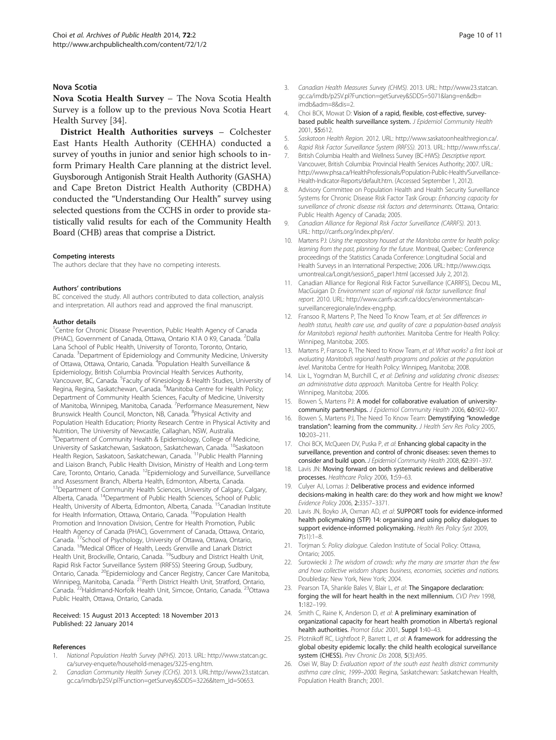#### <span id="page-9-0"></span>Nova Scotia

Nova Scotia Health Survey – The Nova Scotia Health Survey is a follow up to the previous Nova Scotia Heart Health Survey [[34\]](#page-10-0).

District Health Authorities surveys – Colchester East Hants Health Authority (CEHHA) conducted a survey of youths in junior and senior high schools to inform Primary Health Care planning at the district level. Guysborough Antigonish Strait Health Authority (GASHA) and Cape Breton District Health Authority (CBDHA) conducted the "Understanding Our Health" survey using selected questions from the CCHS in order to provide statistically valid results for each of the Community Health Board (CHB) areas that comprise a District.

#### Competing interests

The authors declare that they have no competing interests.

#### Authors' contributions

BC conceived the study. All authors contributed to data collection, analysis and interpretation. All authors read and approved the final manuscript.

#### Author details

<sup>1</sup>Centre for Chronic Disease Prevention, Public Health Agency of Canada (PHAC), Government of Canada, Ottawa, Ontario K1A 0 K9, Canada. <sup>2</sup>Dalla Lana School of Public Health, University of Toronto, Toronto, Ontario, Canada. <sup>3</sup>Department of Epidemiology and Community Medicine, University of Ottawa, Ottawa, Ontario, Canada. <sup>4</sup> Population Health Surveillance & Epidemiology, British Columbia Provincial Health Services Authority, Vancouver, BC, Canada. <sup>5</sup>Faculty of Kinesiology & Health Studies, University of Regina, Regina, Saskatchewan, Canada. <sup>6</sup>Manitoba Centre for Health Policy; Department of Community Health Sciences, Faculty of Medicine, University of Manitoba, Winnipeg, Manitoba, Canada. <sup>7</sup> Performance Measurement, New Brunswick Health Council, Moncton, NB, Canada. <sup>8</sup>Physical Activity and Population Health Education; Priority Research Centre in Physical Activity and Nutrition, The University of Newcastle, Callaghan, NSW, Australia. <sup>9</sup>Department of Community Health & Epidemiology, College of Medicine, University of Saskatchewan, Saskatoon, Saskatchewan, Canada. <sup>10</sup>Saskatoon Health Region, Saskatoon, Saskatchewan, Canada. <sup>11</sup>Public Health Planning and Liaison Branch, Public Health Division, Ministry of Health and Long-term Care, Toronto, Ontario, Canada. 12Epidemiology and Surveillance, Surveillance and Assessment Branch, Alberta Health, Edmonton, Alberta, Canada. <sup>13</sup>Department of Community Health Sciences, University of Calgary, Calgary, Alberta, Canada. 14Department of Public Health Sciences, School of Public Health, University of Alberta, Edmonton, Alberta, Canada. <sup>15</sup>Canadian Institute for Health Information, Ottawa, Ontario, Canada. <sup>16</sup>Population Health Promotion and Innovation Division, Centre for Health Promotion, Public Health Agency of Canada (PHAC), Government of Canada, Ottawa, Ontario, Canada. <sup>17</sup>School of Psychology, University of Ottawa, Ottawa, Ontario, Canada. 18Medical Officer of Health, Leeds Grenville and Lanark District Health Unit, Brockville, Ontario, Canada. 19Sudbury and District Health Unit, Rapid Risk Factor Surveillance System (RRFSS) Steering Group, Sudbury, Ontario, Canada. 20Epidemiology and Cancer Registry, Cancer Care Manitoba, Winnipeg, Manitoba, Canada. <sup>21</sup>Perth District Health Unit, Stratford, Ontario, Canada. <sup>22</sup>Haldimand-Norfolk Health Unit, Simcoe, Ontario, Canada. <sup>23</sup>Ottawa Public Health, Ottawa, Ontario, Canada.

#### Received: 15 August 2013 Accepted: 18 November 2013 Published: 22 January 2014

#### References

- 1. National Population Health Survey (NPHS). 2013. URL: [http://www.statcan.gc.](http://www.statcan.gc.ca/survey-enquete/household-menages/3225-eng.htm) [ca/survey-enquete/household-menages/3225-eng.htm](http://www.statcan.gc.ca/survey-enquete/household-menages/3225-eng.htm).
- 2. Canadian Community Health Survey (CCHS). 2013. URL:[http://www23.statcan.](http://www23.statcan.gc.ca/imdb/p2SV.pl?Function=getSurvey&SDDS=3226&Item_Id=50653) [gc.ca/imdb/p2SV.pl?Function=getSurvey&SDDS=3226&Item\\_Id=50653](http://www23.statcan.gc.ca/imdb/p2SV.pl?Function=getSurvey&SDDS=3226&Item_Id=50653).
- 3. Canadian Health Measures Survey (CHMS). 2013. URL: [http://www23.statcan.](http://www23.statcan.gc.ca/imdb/p2SV.pl?Function=getSurvey&SDDS=5071&lang=en&db=imdb&adm=8&dis=2) [gc.ca/imdb/p2SV.pl?Function=getSurvey&SDDS=5071&lang=en&db=](http://www23.statcan.gc.ca/imdb/p2SV.pl?Function=getSurvey&SDDS=5071&lang=en&db=imdb&adm=8&dis=2) [imdb&adm=8&dis=2.](http://www23.statcan.gc.ca/imdb/p2SV.pl?Function=getSurvey&SDDS=5071&lang=en&db=imdb&adm=8&dis=2)
- 4. Choi BCK, Mowat D: Vision of a rapid, flexible, cost-effective, surveybased public health surveillance system. J Epidemiol Community Health 2001, 55:612.
- 5. Saskatoon Health Region. 2012. URL: [http://www.saskatoonhealthregion.ca/.](http://www.saskatoonhealthregion.ca/)
- 6. Rapid Risk Factor Surveillance System (RRFSS). 2013. URL: [http://www.rrfss.ca/.](http://www.rrfss.ca/) 7. British Columbia Health and Wellness Survey (BC-HWS): Descriptive report.
- Vancouver, British Columbia: Provincial Health Services Authority; 2007. URL: [http://www.phsa.ca/HealthProfessionals/Population-Public-Health/Surveillance-](http://www.phsa.ca/HealthProfessionals/Population-Public-Health/Surveillance-Health-Indicator-Reports/default.htm)[Health-Indicator-Reports/default.htm](http://www.phsa.ca/HealthProfessionals/Population-Public-Health/Surveillance-Health-Indicator-Reports/default.htm). (Accessed September 1, 2012).
- Advisory Committee on Population Health and Health Security Surveillance Systems for Chronic Disease Risk Factor Task Group: Enhancing capacity for surveillance of chronic disease risk factors and determinants. Ottawa, Ontario: Public Health Agency of Canada; 2005.
- 9. Canadian Alliance for Regional Risk Factor Surveillance (CARRFS). 2013. URL: [http://carrfs.org/index.php/en/.](http://carrfs.org/index.php/en/)
- 10. Martens PJ: Using the repository housed at the Manitoba centre for health policy: learning from the past, planning for the future. Montreal, Quebec: Conference proceedings of the Statistics Canada Conference: Longitudinal Social and Health Surveys in an International Perspective; 2006. URL: [http://www.ciqss.](http://www.ciqss.umontreal.ca/Longit/session5_paper1.html) [umontreal.ca/Longit/session5\\_paper1.html](http://www.ciqss.umontreal.ca/Longit/session5_paper1.html) (accessed July 2, 2012).
- 11. Canadian Alliance for Regional Risk Factor Surveillance (CARRFS), Decou ML, MacGuigan D: Environment scan of regional risk factor surveillance: final report. 2010. URL: [http://www.carrfs-acsrfr.ca/docs/environmentalscan](http://www.carrfs-acsrfr.ca/docs/environmentalscan-surveillanceregionale/index-eng.php)[surveillanceregionale/index-eng.php.](http://www.carrfs-acsrfr.ca/docs/environmentalscan-surveillanceregionale/index-eng.php)
- 12. Fransoo R, Martens P, The Need To Know Team, et al: Sex differences in health status, health care use, and quality of care: a population-based analysis for Manitoba's regional health authorities. Manitoba Centre for Health Policy: Winnipeg, Manitoba; 2005.
- 13. Martens P, Fransoo R, The Need to Know Team, et al: What works? a first look at evaluating Manitoba's regional health programs and policies at the population level. Manitoba Centre for Health Policy: Winnipeg, Manitoba; 2008.
- 14. Lix L, Yogrndran M, Burchill C, et al: Defining and validating chronic diseases: an administrative data approach. Manitoba Centre for Health Policy: Winnipeg, Manitoba; 2006.
- 15. Bowen S, Martens PJ: A model for collaborative evaluation of universitycommunity partnerships. J Epidemiol Community Health 2006, 60:902–907.
- 16. Bowen S, Martens PJ, The Need To Know Team: Demystifying "knowledge translation": learning from the community. J Health Serv Res Policy 2005, 10:203–211.
- 17. Choi BCK, McQueen DV, Puska P, et al: Enhancing global capacity in the surveillance, prevention and control of chronic diseases: seven themes to consider and build upon. J Epidemiol Community Health 2008, 62:391-397.
- 18. Lavis JN: Moving forward on both systematic reviews and deliberative processes. Healthcare Policy 2006, 1:59–63.
- 19. Culyer AJ, Lomas J: Deliberative process and evidence informed decisions-making in health care: do they work and how might we know? Evidence Policy 2006, 2:3357–3371.
- 20. Lavis JN, Boyko JA, Oxman AD, et al: SUPPORT tools for evidence-informed health policymaking (STP) 14: organising and using policy dialogues to support evidence-informed policymaking. Health Res Policy Syst 2009,  $7(s1):1-8.$
- 21. Torjman S: Policy dialogue. Caledon Institute of Social Policy: Ottawa, Ontario; 2005.
- 22. Surowiecki J: The wisdom of crowds: why the many are smarter than the few and how collective wisdom shapes business, economies, societies and nations. Doubleday: New York, New York; 2004.
- 23. Pearson TA, Shankle Bales V, Blair L, et al: The Singapore declaration: forging the will for heart health in the next millennium. CVD Prev 1998, 1:182–199.
- 24. Smith C, Raine K, Anderson D, et al: A preliminary examination of organizational capacity for heart health promotion in Alberta's regional health authorities. Promot Educ 2001, Suppl 1:40-43.
- 25. Plotnikoff RC, Lightfoot P, Barrett L, et al: A framework for addressing the global obesity epidemic locally: the child health ecological surveillance system (CHESS). Prev Chronic Dis 2008, 5(3):A95.
- 26. Osei W, Blay D: Evaluation report of the south east health district community asthma care clinic, 1999–2000. Regina, Saskatchewan: Saskatchewan Health, Population Health Branch; 2001.